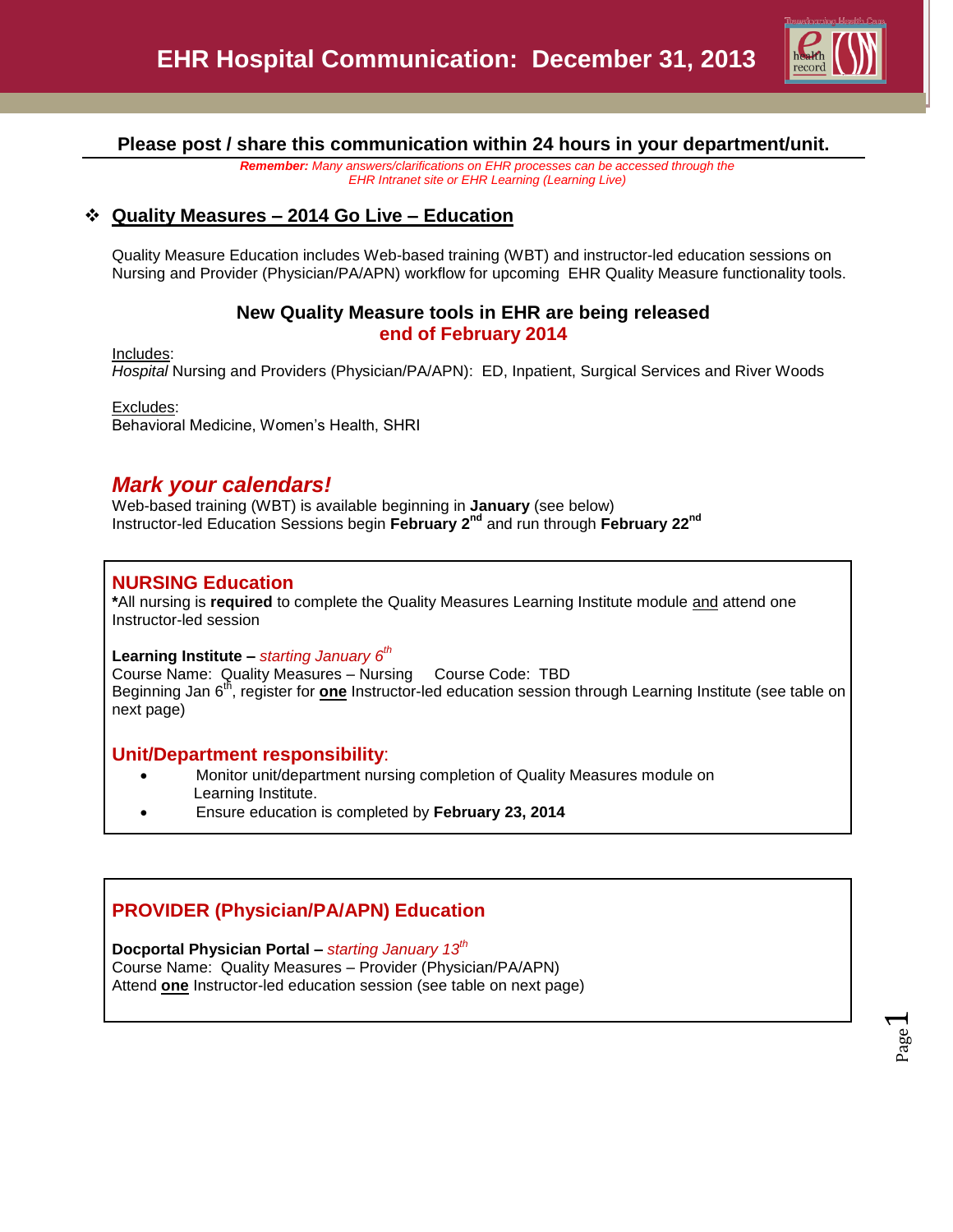

Page  $\overline{\phantom{0}}$ 

**Please post / share this communication within 24 hours in your department/unit.**

*Remember: Many answers/clarifications on EHR processes can be accessed through the EHR Intranet site or EHR Learning (Learning Live)*

# **Quality Measures – 2014 Go Live – Education**

Quality Measure Education includes Web-based training (WBT) and instructor-led education sessions on Nursing and Provider (Physician/PA/APN) workflow for upcoming EHR Quality Measure functionality tools.

## **New Quality Measure tools in EHR are being released end of February 2014**

Includes:

*Hospital* Nursing and Providers (Physician/PA/APN): ED, Inpatient, Surgical Services and River Woods

Excludes: Behavioral Medicine, Women's Health, SHRI

# *Mark your calendars!*

Web-based training (WBT) is available beginning in **January** (see below) Instructor-led Education Sessions begin **February 2nd** and run through **February 22nd**

# **NURSING Education**

**\***All nursing is **required** to complete the Quality Measures Learning Institute module and attend one Instructor-led session

**Learning Institute –** *starting January 6th*

Course Name: Quality Measures – Nursing Course Code: TBD Beginning Jan 6th, register for **one** Instructor-led education session through Learning Institute (see table on next page)

## **Unit/Department responsibility**:

- Monitor unit/department nursing completion of Quality Measures module on Learning Institute.
- Ensure education is completed by **February 23, 2014**

# **PROVIDER (Physician/PA/APN) Education**

**Docportal Physician Portal –** *starting January 13th*

Course Name: Quality Measures – Provider (Physician/PA/APN) Attend **one** Instructor-led education session (see table on next page)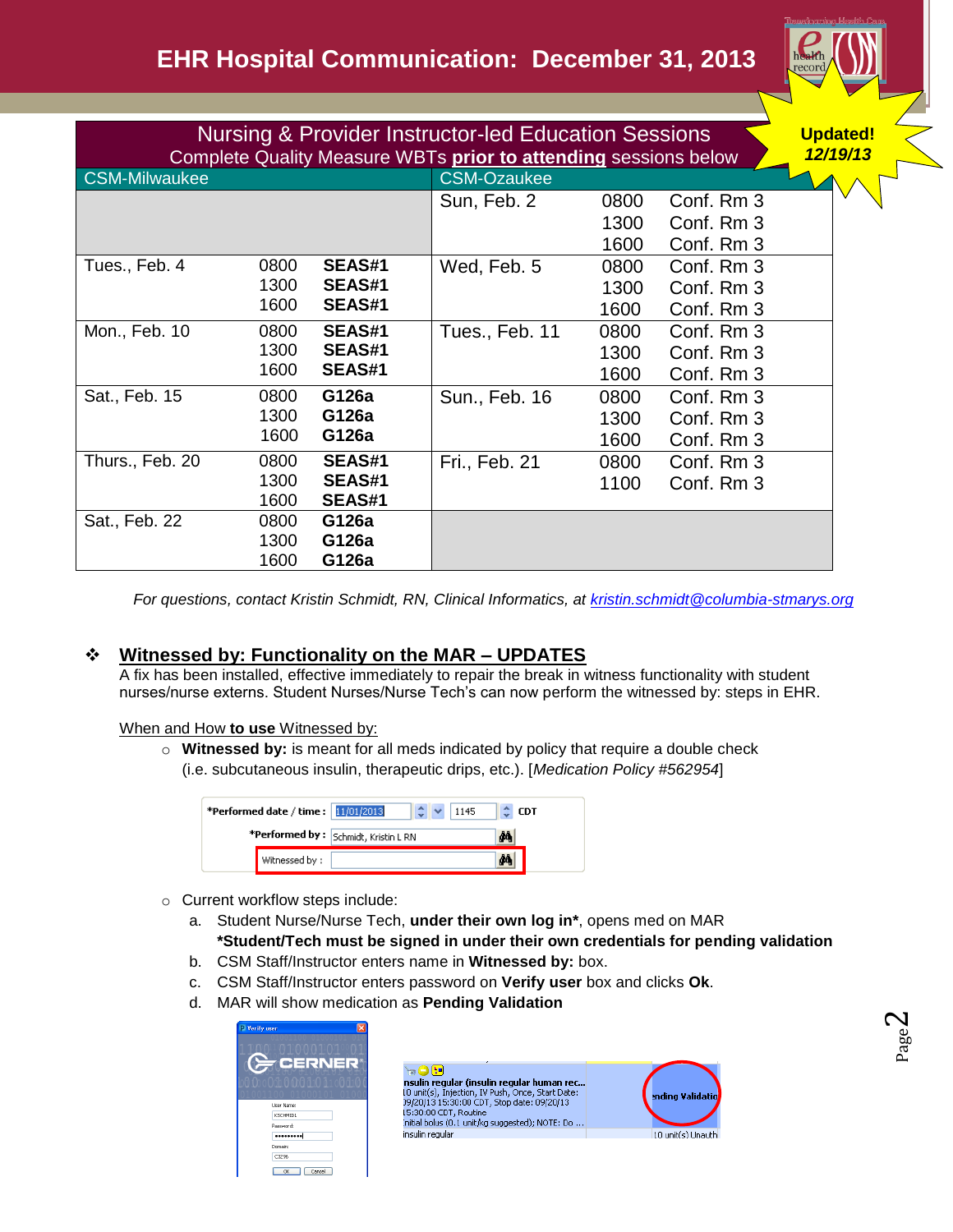

| <b>Nursing &amp; Provider Instructor-led Education Sessions</b><br>Complete Quality Measure WBTs prior to attending sessions below |      |               |                    |      |            |          |
|------------------------------------------------------------------------------------------------------------------------------------|------|---------------|--------------------|------|------------|----------|
| <b>CSM-Milwaukee</b>                                                                                                               |      |               | <b>CSM-Ozaukee</b> |      |            | 12/19/13 |
|                                                                                                                                    |      |               | Sun, Feb. 2        | 0800 | Conf. Rm 3 |          |
|                                                                                                                                    |      |               |                    | 1300 | Conf. Rm 3 |          |
|                                                                                                                                    |      |               |                    | 1600 | Conf. Rm 3 |          |
| Tues., Feb. 4                                                                                                                      | 0800 | <b>SEAS#1</b> | Wed, Feb. 5        | 0800 | Conf. Rm 3 |          |
|                                                                                                                                    | 1300 | <b>SEAS#1</b> |                    | 1300 | Conf. Rm 3 |          |
|                                                                                                                                    | 1600 | <b>SEAS#1</b> |                    | 1600 | Conf. Rm 3 |          |
| Mon., Feb. 10                                                                                                                      | 0800 | <b>SEAS#1</b> | Tues., Feb. 11     | 0800 | Conf. Rm 3 |          |
|                                                                                                                                    | 1300 | <b>SEAS#1</b> |                    | 1300 | Conf. Rm 3 |          |
|                                                                                                                                    | 1600 | <b>SEAS#1</b> |                    | 1600 | Conf. Rm 3 |          |
| Sat., Feb. 15                                                                                                                      | 0800 | G126a         | Sun., Feb. 16      | 0800 | Conf. Rm 3 |          |
|                                                                                                                                    | 1300 | G126a         |                    | 1300 | Conf. Rm 3 |          |
|                                                                                                                                    | 1600 | G126a         |                    | 1600 | Conf. Rm 3 |          |
| Thurs., Feb. 20                                                                                                                    | 0800 | <b>SEAS#1</b> | Fri., Feb. 21      | 0800 | Conf. Rm 3 |          |
|                                                                                                                                    | 1300 | <b>SEAS#1</b> |                    | 1100 | Conf. Rm 3 |          |
|                                                                                                                                    | 1600 | <b>SEAS#1</b> |                    |      |            |          |
| Sat., Feb. 22                                                                                                                      | 0800 | G126a         |                    |      |            |          |
|                                                                                                                                    | 1300 | G126a         |                    |      |            |          |
|                                                                                                                                    | 1600 | G126a         |                    |      |            |          |

*For questions, contact Kristin Schmidt, RN, Clinical Informatics, at [kristin.schmidt@columbia-stmarys.org](mailto:kristin.schmidt@columbia-stmarys.org)*

# **Witnessed by: Functionality on the MAR – UPDATES**

A fix has been installed, effective immediately to repair the break in witness functionality with student nurses/nurse externs. Student Nurses/Nurse Tech's can now perform the witnessed by: steps in EHR.

When and How **to use** Witnessed by:

o **Witnessed by:** is meant for all meds indicated by policy that require a double check (i.e. subcutaneous insulin, therapeutic drips, etc.). [*Medication Policy #562954*]

| *Performed date / time : 11/01/2013 |                | 1145                                 | <b>CDT</b> |
|-------------------------------------|----------------|--------------------------------------|------------|
|                                     |                | *Performed by: Schmidt, Kristin L RN |            |
|                                     | Witnessed by : |                                      |            |

- o Current workflow steps include:
	- a. Student Nurse/Nurse Tech, **under their own log in\***, opens med on MAR **\*Student/Tech must be signed in under their own credentials for pending validation**
	- b. CSM Staff/Instructor enters name in **Witnessed by:** box.
	- c. CSM Staff/Instructor enters password on **Verify user** box and clicks **Ok**.
	- d. MAR will show medication as **Pending Validation**